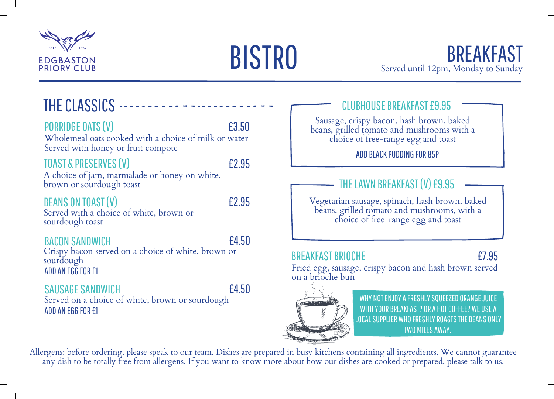



# THE CLASSICS -

#### PORRIDGE OATS(V)

#### £3.50

Wholemeal oats cooked with a choice of milk or water Served with honey or fruit compote

#### TOAST & PRESERVES(V)

£2.95

A choice of jam, marmalade or honey on white, brown or sourdough toast

#### BEANS ON TOAST(V)

£2.95

Served with a choice of white, brown or sourdough toast

#### BACON SANDWICH

£4.50

Crispy bacon served on a choice of white, brown or sourdough ADD AN FGG FOR F1

#### SAUSAGE SANDWICH

£4.50

Served on a choice of white, brown or sourdough ADD AN FGG FOR £1

#### CLUBHOUSE BREAKFAST £9.95

Sausage, crispy bacon, hash brown, baked beans, grilled tomato and mushrooms with a choice of free-range egg and toast

ADDBLACKPUDDING FOR 85P

#### THE LAWN BREAKFAST (V) £9.95

Vegetarian sausage, spinach, hash brown, baked beans, grilled tomato and mushrooms, with a choice of free-range egg and toast

#### BREAKFAST BRIOCHE

### £7.95

Fried egg, sausage, crispy bacon and hash brown served on a brioche bun



WHY NOT ENJOY A FRESHLY SQUEEZED ORANGE JUICE WITH YOUR BREAKFAST? OR A HOT COFFEE? WE USE A LOCAL SUPPLIER WHO FRESHLY ROASTS THE BEANS ONLY TWO MILESAWAY.

Allergens: before ordering, please speak to our team. Dishes are prepared in busy kitchens containing all ingredients. We cannot guarantee any dish to be totally free from allergens. If you want to know more about how our dishes are cooked or prepared, please talk to us.